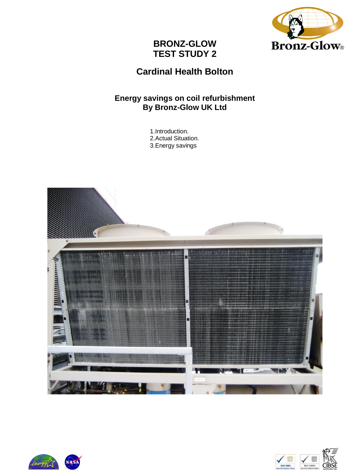

# **Cardinal Health Bolton**

### **Energy savings on coil refurbishment By Bronz-Glow UK Ltd**

1.Introduction. 2.Actual Situation. 3.Energy savings





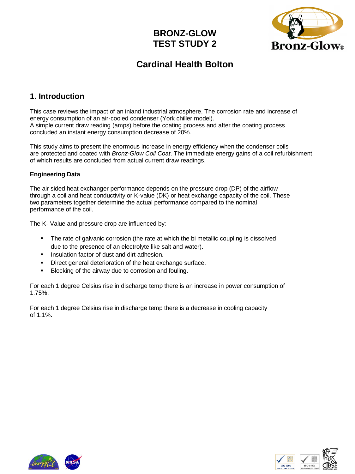

# **Cardinal Health Bolton**

### **1. Introduction**

This case reviews the impact of an inland industrial atmosphere, The corrosion rate and increase of energy consumption of an air-cooled condenser (York chiller model). A simple current draw reading (amps) before the coating process and after the coating process concluded an instant energy consumption decrease of 20%.

This study aims to present the enormous increase in energy efficiency when the condenser coils are protected and coated with *Bronz-Glow Coil Coat*. The immediate energy gains of a coil refurbishment of which results are concluded from actual current draw readings.

### **Engineering Data**

The air sided heat exchanger performance depends on the pressure drop (DP) of the airflow through a coil and heat conductivity or K-value (DK) or heat exchange capacity of the coil. These two parameters together determine the actual performance compared to the nominal performance of the coil.

The K- Value and pressure drop are influenced by:

- The rate of galvanic corrosion (the rate at which the bi metallic coupling is dissolved due to the presence of an electrolyte like salt and water).
- Insulation factor of dust and dirt adhesion.
- Direct general deterioration of the heat exchange surface.
- Blocking of the airway due to corrosion and fouling.

For each 1 degree Celsius rise in discharge temp there is an increase in power consumption of 1.75%.

For each 1 degree Celsius rise in discharge temp there is a decrease in cooling capacity of 1.1%.





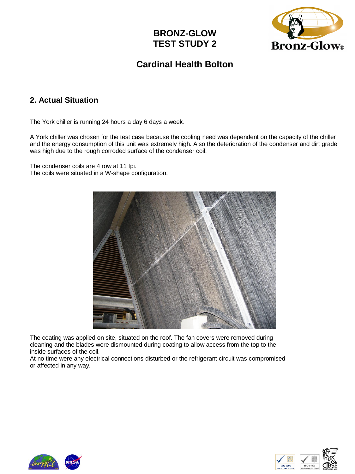

# **Cardinal Health Bolton**

### **2. Actual Situation**

The York chiller is running 24 hours a day 6 days a week.

A York chiller was chosen for the test case because the cooling need was dependent on the capacity of the chiller and the energy consumption of this unit was extremely high. Also the deterioration of the condenser and dirt grade was high due to the rough corroded surface of the condenser coil.

The condenser coils are 4 row at 11 fpi. The coils were situated in a W-shape configuration.



The coating was applied on site, situated on the roof. The fan covers were removed during cleaning and the blades were dismounted during coating to allow access from the top to the inside surfaces of the coil.

At no time were any electrical connections disturbed or the refrigerant circuit was compromised or affected in any way.





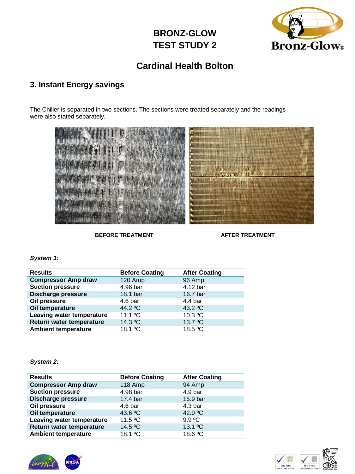

### **Cardinal Health Bolton**

### **3. Instant Energy savings**

The Chiller is separated in two sections. The sections were treated separately and the readings were also stated separately.



**BEFORE TREATMENT AFTER TREATMENT** 

#### *System 1:*

| <b>Results</b>             | <b>Before Coating</b> | <b>After Coating</b> |  |
|----------------------------|-----------------------|----------------------|--|
| <b>Compressor Amp draw</b> | 120 Amp               | 96 Amp               |  |
| <b>Suction pressure</b>    | 4.96 bar              | 4.12 bar             |  |
| <b>Discharge pressure</b>  | 18.1 bar              | 16.7 bar             |  |
| Oil pressure               | 4.6 <sub>bar</sub>    | $4.4 \text{ bar}$    |  |
| Oil temperature            | 44.2 °C               | 43.2 $^{\circ}$ C    |  |
| Leaving water temperature  | 11.1 $^{\circ}$ C     | $10.3 \text{ °C}$    |  |
| Return water temperature   | 14.3 °C               | 13.7 °C              |  |
| <b>Ambient temperature</b> | 18.1 °C               | 18.5 °C              |  |

#### *System 2:*

| <b>Results</b>             | <b>Before Coating</b> | <b>After Coating</b> |
|----------------------------|-----------------------|----------------------|
| <b>Compressor Amp draw</b> | 118 Amp               | 94 Amp               |
| <b>Suction pressure</b>    | 4.98 bar              | 4.9 bar              |
| <b>Discharge pressure</b>  | 17.4 bar              | 15.9 bar             |
| Oil pressure               | 4.6 bar               | 4.3 <sub>bar</sub>   |
| Oil temperature            | 43.6 °C               | 42.9 °C              |
| Leaving water temperature  | 11.5 $\degree$ C      | 9.9 °C               |
| Return water temperature   | 14.5 °C               | 13.1 °C              |
| <b>Ambient temperature</b> | 18.1 °C               | 18.6 °C              |





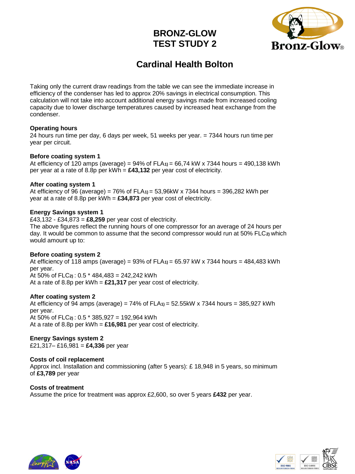

# **Cardinal Health Bolton**

Taking only the current draw readings from the table we can see the immediate increase in efficiency of the condenser has led to approx 20% savings in electrical consumption. This calculation will not take into account additional energy savings made from increased cooling capacity due to lower discharge temperatures caused by increased heat exchange from the condenser.

#### **Operating hours**

24 hours run time per day, 6 days per week, 51 weeks per year. = 7344 hours run time per year per circuit.

#### **Before coating system 1**

At efficiency of 120 amps (average) = 94% of FLA**1)** = 66,74 kW x 7344 hours = 490,138 kWh per year at a rate of 8.8p per kWh = **£43,132** per year cost of electricity.

#### **After coating system 1**

At efficiency of 96 (average) = 76% of FLA**1)** = 53,96kW x 7344 hours = 396,282 kWh per year at a rate of 8.8p per kWh = **£34,873** per year cost of electricity.

#### **Energy Savings system 1**

£43,132 - £34,873 = **£8,259** per year cost of electricity. The above figures reflect the running hours of one compressor for an average of 24 hours per day. It would be common to assume that the second compressor would run at 50% FLC**2)** which would amount up to:

#### **Before coating system 2**

At efficiency of 118 amps (average) = 93% of FLA**1)** = 65.97 kW x 7344 hours = 484,483 kWh per year. At 50% of FLC**2)** : 0.5 \* 484,483 = 242,242 kWh At a rate of 8.8p per kWh = **£21,317** per year cost of electricity.

#### **After coating system 2**

At efficiency of 94 amps (average) = 74% of FLA**1)** = 52.55kW x 7344 hours = 385,927 kWh per year. At 50% of FLC**2)** : 0.5 \* 385,927 = 192,964 kWh At a rate of 8.8p per kWh = **£16,981** per year cost of electricity.

#### **Energy Savings system 2**

£21,317– £16,981 = **£4,336** per year

#### **Costs of coil replacement**

Approx incl. Installation and commissioning (after 5 years): £ 18,948 in 5 years, so minimum of **£3,789** per year

#### **Costs of treatment** Assume the price for treatment was approx £2,600, so over 5 years **£432** per year.